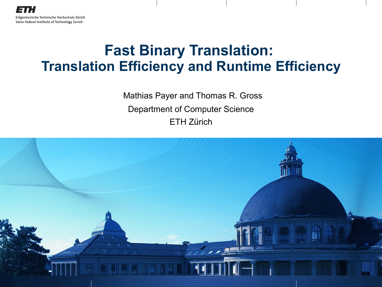## **Fast Binary Translation: Translation Efficiency and Runtime Efficiency**

Mathias Payer and Thomas R. Gross Department of Computer Science ETH Zürich

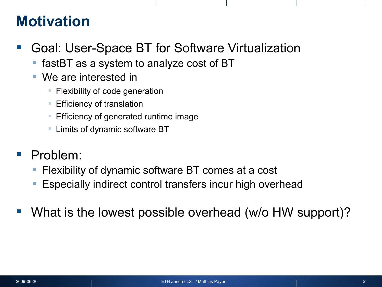## **Motivation**

- Goal: User-Space BT for Software Virtualization
	- fastBT as a system to analyze cost of BT
	- We are interested in
		- **Filexibility of code generation**
		- **Efficiency of translation**
		- **Efficiency of generated runtime image**
		- **Limits of dynamic software BT**
- Problem:
	- Flexibility of dynamic software BT comes at a cost
	- Especially indirect control transfers incur high overhead
- What is the lowest possible overhead (w/o HW support)?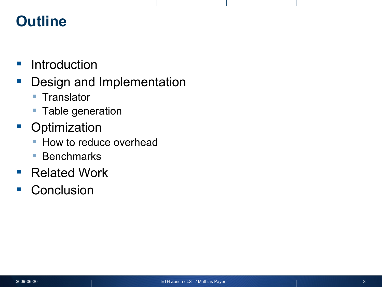# **Outline**

- **Introduction**
- **Design and Implementation** 
	- Translator
	- **Table generation**
- **•** Optimization
	- **How to reduce overhead**
	- Benchmarks
- Related Work
- **Conclusion**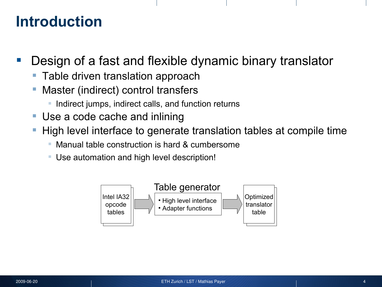#### **Introduction**

- Design of a fast and flexible dynamic binary translator
	- Table driven translation approach
	- Master (indirect) control transfers
		- **Indirect jumps, indirect calls, and function returns**
	- Use a code cache and inlining
	- High level interface to generate translation tables at compile time
		- Manual table construction is hard & cumbersome
		- Use automation and high level description!

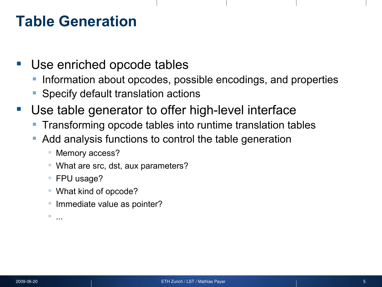## **Table Generation**

- Use enriched opcode tables
	- Information about opcodes, possible encodings, and properties
	- Specify default translation actions
- Use table generator to offer high-level interface
	- Transforming opcode tables into runtime translation tables
	- Add analysis functions to control the table generation
		- **Memory access?**
		- What are src, dst, aux parameters?
		- FPU usage?
		- What kind of opcode?
		- Immediate value as pointer?

...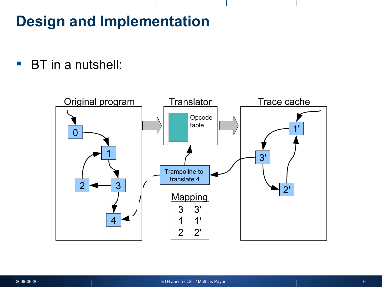# **Design and Implementation**

**BT** in a nutshell:

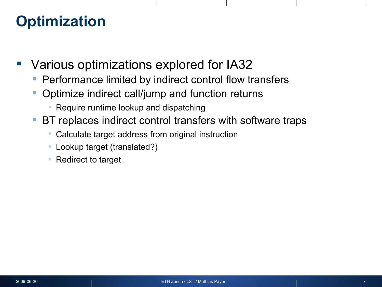## **Optimization**

- Various optimizations explored for IA32
	- Performance limited by indirect control flow transfers
	- Optimize indirect call/jump and function returns
		- Require runtime lookup and dispatching
	- **BT replaces indirect control transfers with software traps** 
		- Calculate target address from original instruction
		- Lookup target (translated?)
		- Redirect to target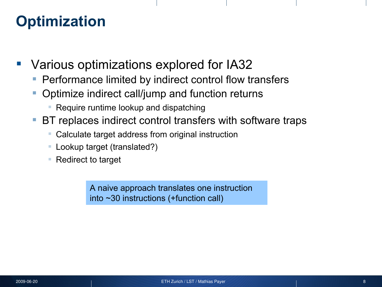## **Optimization**

- Various optimizations explored for IA32
	- Performance limited by indirect control flow transfers
	- Optimize indirect call/jump and function returns
		- Require runtime lookup and dispatching
	- BT replaces indirect control transfers with software traps
		- Calculate target address from original instruction
		- Lookup target (translated?)
		- Redirect to target

A naive approach translates one instruction into ~30 instructions (+function call)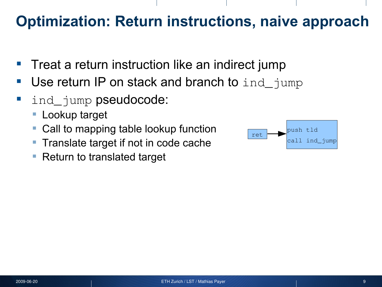# **Optimization: Return instructions, naive approach**

- $\blacksquare$  Treat a return instruction like an indirect jump
- Use return IP on stack and branch to ind jump
- **I** ind\_jump pseudocode:
	- Lookup target
	- Call to mapping table lookup function
	- Translate target if not in code cache
	- Return to translated target

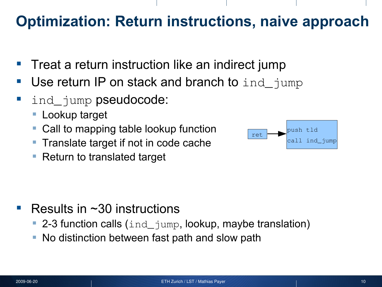# **Optimization: Return instructions, naive approach**

- $\blacksquare$  Treat a return instruction like an indirect jump
- Use return IP on stack and branch to ind jump
- **I** ind\_jump pseudocode:
	- Lookup target
	- Call to mapping table lookup function
	- **Translate target if not in code cache**
	- Return to translated target



- Results in ~30 instructions
	- 2-3 function calls (ind\_jump, lookup, maybe translation)
	- No distinction between fast path and slow path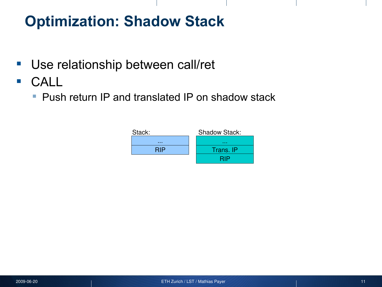- **Use relationship between call/ret**
- CALL
	- **Push return IP and translated IP on shadow stack**

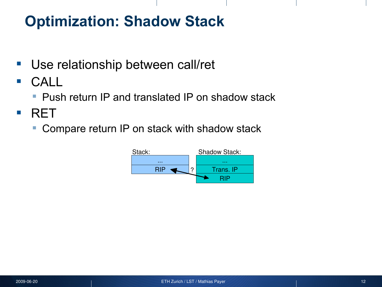- **Use relationship between call/ret**
- **CALL** 
	- **Push return IP and translated IP on shadow stack**
- **RET** 
	- Compare return IP on stack with shadow stack

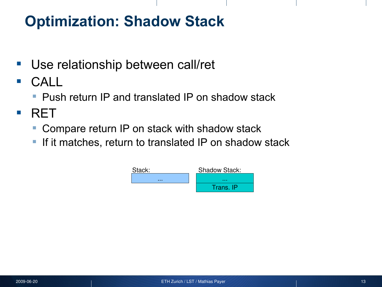- Use relationship between call/ret
- CALL
	- **Push return IP and translated IP on shadow stack**
- **RFT** 
	- Compare return IP on stack with shadow stack
	- **If it matches, return to translated IP on shadow stack**

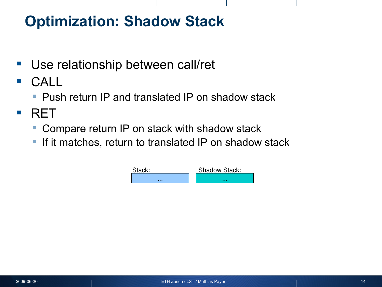- Use relationship between call/ret
- CALL
	- **Push return IP and translated IP on shadow stack**
- **RFT** 
	- Compare return IP on stack with shadow stack
	- **If it matches, return to translated IP on shadow stack**

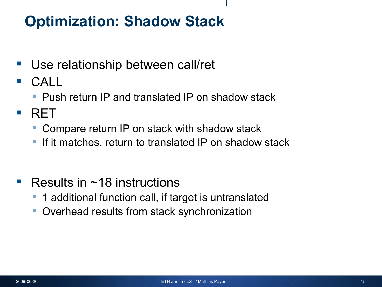- Use relationship between call/ret
- CALL
	- **Push return IP and translated IP on shadow stack**
- **RFT** 
	- Compare return IP on stack with shadow stack
	- If it matches, return to translated IP on shadow stack
- Results in  $~18$  instructions
	- 1 additional function call, if target is untranslated
	- **Overhead results from stack synchronization**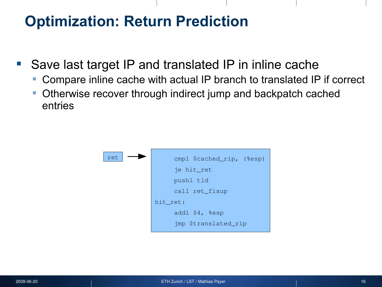## **Optimization: Return Prediction**

- Save last target IP and translated IP in inline cache
	- Compare inline cache with actual IP branch to translated IP if correct
	- **Otherwise recover through indirect jump and backpatch cached** entries

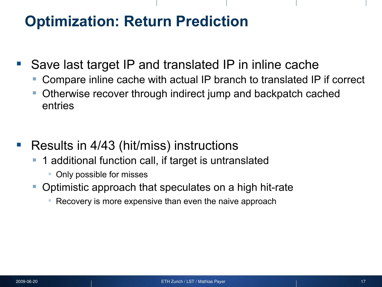## **Optimization: Return Prediction**

- Save last target IP and translated IP in inline cache
	- Compare inline cache with actual IP branch to translated IP if correct
	- Otherwise recover through indirect jump and backpatch cached entries
- Results in 4/43 (hit/miss) instructions
	- 1 additional function call, if target is untranslated
		- Only possible for misses
	- Optimistic approach that speculates on a high hit-rate
		- **Recovery is more expensive than even the naive approach**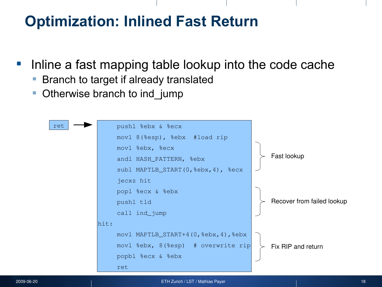# **Optimization: Inlined Fast Return**

- Inline a fast mapping table lookup into the code cache
	- Branch to target if already translated
	- Otherwise branch to ind jump

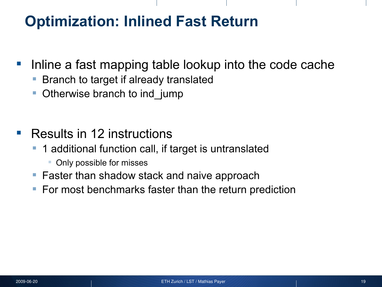# **Optimization: Inlined Fast Return**

- **Inline a fast mapping table lookup into the code cache** 
	- Branch to target if already translated
	- Otherwise branch to ind jump
- **Results in 12 instructions** 
	- 1 additional function call, if target is untranslated
		- Only possible for misses
	- **Faster than shadow stack and naive approach**
	- For most benchmarks faster than the return prediction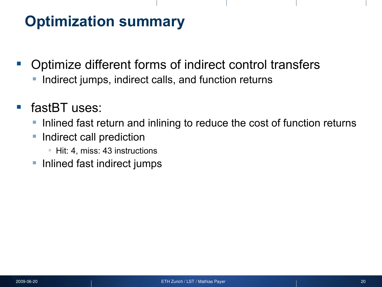# **Optimization summary**

- **Optimize different forms of indirect control transfers** 
	- **Indirect jumps, indirect calls, and function returns**
- fastBT uses:
	- Inlined fast return and inlining to reduce the cost of function returns
	- **Indirect call prediction** 
		- **Hit: 4, miss: 43 instructions**
	- **Inlined fast indirect jumps**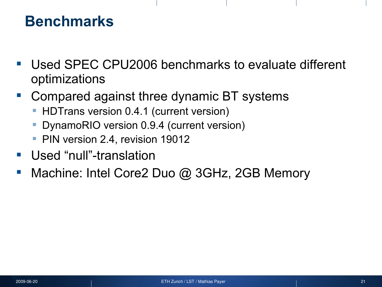- Used SPEC CPU2006 benchmarks to evaluate different optimizations
- Compared against three dynamic BT systems
	- HDTrans version 0.4.1 (current version)
	- DynamoRIO version 0.9.4 (current version)
	- PIN version 2.4, revision 19012
- **Used "null"-translation**
- Machine: Intel Core2 Duo @ 3GHz, 2GB Memory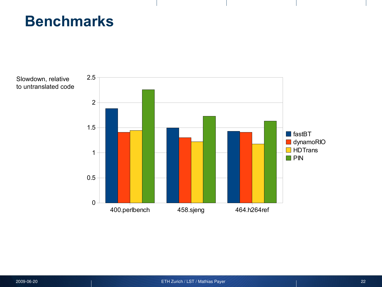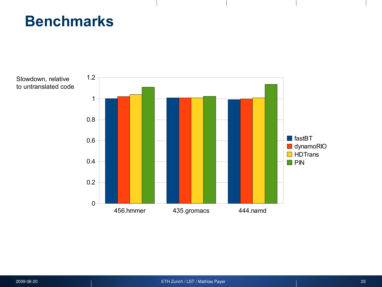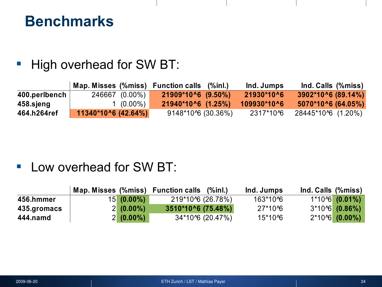#### High overhead for SW BT:

|               |                      | Map. Misses (%miss) Function calls (%inl.) | Ind. Jumps   | Ind. Calls (%miss)         |
|---------------|----------------------|--------------------------------------------|--------------|----------------------------|
| 400.perlbench | 246667 (0.00%)       | $21909*10^6$ (9.50%)                       | $21930*1006$ | $3902*10^6 (89.14\%)$      |
| 458.sjeng     | 1 (0.00%)            | $\{21940*10\,6$ $(1.25\%)$                 | 109930*10^6  | $5070*10^{\circ}6(64.05%)$ |
| 464.h264ref   | $11340*106$ (42.64%) | $9148*10\%$ (30.36%)                       | 2317*10^6    | 28445*10^6 (1.20%)         |

#### **Low overhead for SW BT:**

|             |              | Map. Misses (%miss) Function calls (%inl.) | Ind. Jumps | Ind. Calls (%miss) |
|-------------|--------------|--------------------------------------------|------------|--------------------|
| 456.hmmer   | $15(0.00\%)$ | 219*10^6 (26.78%)                          | 163*10^6   | 1*10^6 (0.01%)     |
| 435.gromacs | $2(0.00\%)$  | 3510*10^6 (75.48%)                         | 27*10^6    | $3*106$ (0.86%)    |
| 444.namd    | $2(0.00\%)$  | 34*10^6 (20.47%)                           | 15*10^6    | $2*10\%$ (0.00%)   |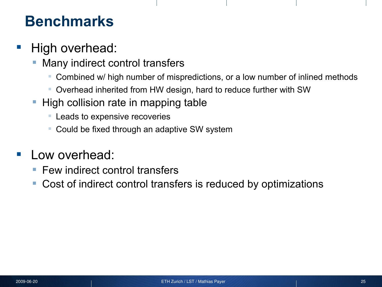#### High overhead:

- Many indirect control transfers
	- Combined w/ high number of mispredictions, or a low number of inlined methods
	- Overhead inherited from HW design, hard to reduce further with SW
- High collision rate in mapping table
	- **EXEC** Leads to expensive recoveries
	- Could be fixed through an adaptive SW system

#### Low overhead:

- Few indirect control transfers
- Cost of indirect control transfers is reduced by optimizations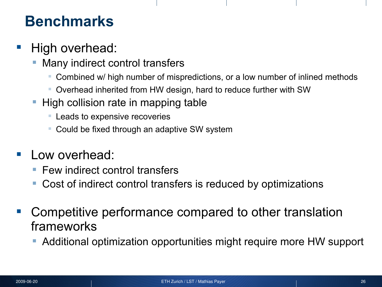#### High overhead:

- Many indirect control transfers
	- Combined w/ high number of mispredictions, or a low number of inlined methods
	- Overhead inherited from HW design, hard to reduce further with SW
- High collision rate in mapping table
	- **Leads to expensive recoveries**
	- Could be fixed through an adaptive SW system
- Low overhead:
	- Few indirect control transfers
	- Cost of indirect control transfers is reduced by optimizations
- Competitive performance compared to other translation frameworks
	- Additional optimization opportunities might require more HW support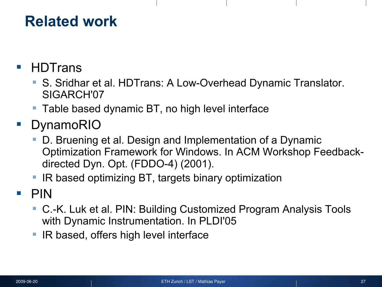## **Related work**

- HDTrans
	- S. Sridhar et al. HDTrans: A Low-Overhead Dynamic Translator. SIGARCH'07
	- Table based dynamic BT, no high level interface
- **DynamoRIO** 
	- D. Bruening et al. Design and Implementation of a Dynamic Optimization Framework for Windows. In ACM Workshop Feedbackdirected Dyn. Opt. (FDDO-4) (2001).
	- IR based optimizing BT, targets binary optimization
- $\blacksquare$  PIN
	- C.-K. Luk et al. PIN: Building Customized Program Analysis Tools with Dynamic Instrumentation. In PLDI'05
	- IR based, offers high level interface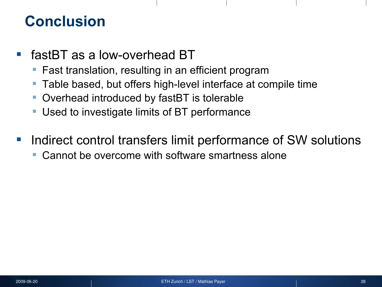## **Conclusion**

- fastBT as a low-overhead BT
	- Fast translation, resulting in an efficient program
	- **Table based, but offers high-level interface at compile time**
	- Overhead introduced by fastBT is tolerable
	- **Used to investigate limits of BT performance**
- Indirect control transfers limit performance of SW solutions
	- Cannot be overcome with software smartness alone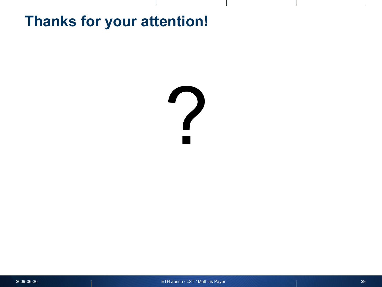## **Thanks for your attention!**

# ?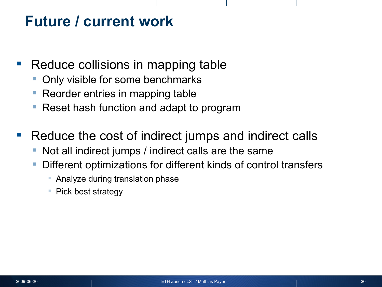## **Future / current work**

- Reduce collisions in mapping table
	- Only visible for some benchmarks
	- Reorder entries in mapping table
	- Reset hash function and adapt to program
- Reduce the cost of indirect jumps and indirect calls
	- Not all indirect jumps / indirect calls are the same
	- Different optimizations for different kinds of control transfers
		- Analyze during translation phase
		- Pick best strategy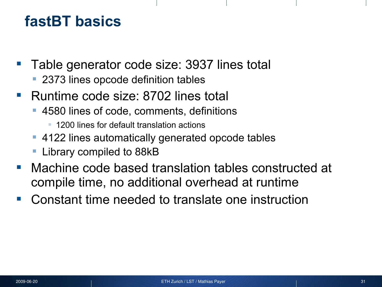## **fastBT basics**

- Table generator code size: 3937 lines total
	- **2373 lines opcode definition tables**
- Runtime code size: 8702 lines total
	- 4580 lines of code, comments, definitions
		- 1200 lines for default translation actions
	- 4122 lines automatically generated opcode tables
	- Library compiled to 88kB
- Machine code based translation tables constructed at compile time, no additional overhead at runtime
- Constant time needed to translate one instruction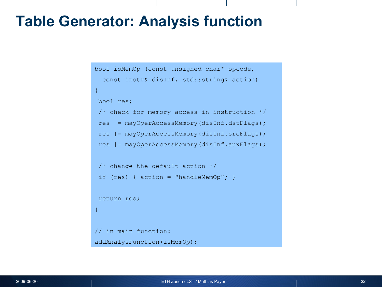#### **Table Generator: Analysis function**

```
bool isMemOp (const unsigned char* opcode, 
  const instr& disInf, std::string& action)
{
bool res;
/* check for memory access in instruction */
res = mayOperAccessMemory(disInf.dstFlags);
res |= mayOperAccessMemory(disInf.srcFlags);
res |= mayOperAccessMemory(disInf.auxFlags);
 /* change the default action */
if (res) { action = "handleMemOp"; }
return res;
}
// in main function:
addAnalysFunction(isMemOp);
```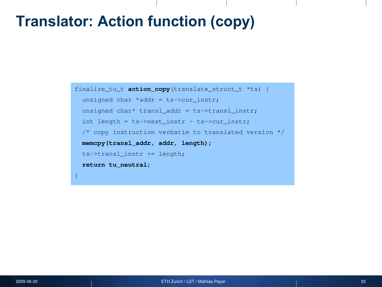## **Translator: Action function (copy)**

```
finalize_tu_t action_copy(translate_struct_t *ts) {
 unsigned char *addr = ts->cur instr;
 unsigned char* transl addr = ts->transl instr;
   int length = ts->next_instr - ts->cur_instr;
   /* copy instruction verbatim to translated version */
  memcpy(transl_addr, addr, length);
  ts->transl_instr += length;
  return tu_neutral;
}
```